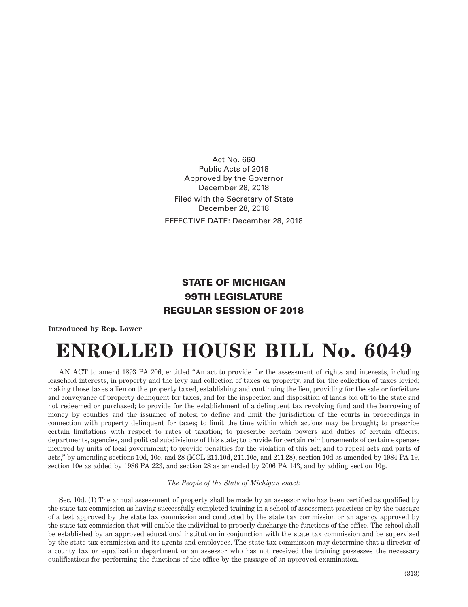Act No. 660 Public Acts of 2018 Approved by the Governor December 28, 2018 Filed with the Secretary of State December 28, 2018 EFFECTIVE DATE: December 28, 2018

## STATE OF MICHIGAN 99TH LEGISLATURE REGULAR SESSION OF 2018

**Introduced by Rep. Lower**

## **ENROLLED HOUSE BILL No. 6049**

AN ACT to amend 1893 PA 206, entitled "An act to provide for the assessment of rights and interests, including leasehold interests, in property and the levy and collection of taxes on property, and for the collection of taxes levied; making those taxes a lien on the property taxed, establishing and continuing the lien, providing for the sale or forfeiture and conveyance of property delinquent for taxes, and for the inspection and disposition of lands bid off to the state and not redeemed or purchased; to provide for the establishment of a delinquent tax revolving fund and the borrowing of money by counties and the issuance of notes; to define and limit the jurisdiction of the courts in proceedings in connection with property delinquent for taxes; to limit the time within which actions may be brought; to prescribe certain limitations with respect to rates of taxation; to prescribe certain powers and duties of certain officers, departments, agencies, and political subdivisions of this state; to provide for certain reimbursements of certain expenses incurred by units of local government; to provide penalties for the violation of this act; and to repeal acts and parts of acts," by amending sections 10d, 10e, and 28 (MCL 211.10d, 211.10e, and 211.28), section 10d as amended by 1984 PA 19, section 10e as added by 1986 PA 223, and section 28 as amended by 2006 PA 143, and by adding section 10g.

## *The People of the State of Michigan enact:*

Sec. 10d. (1) The annual assessment of property shall be made by an assessor who has been certified as qualified by the state tax commission as having successfully completed training in a school of assessment practices or by the passage of a test approved by the state tax commission and conducted by the state tax commission or an agency approved by the state tax commission that will enable the individual to properly discharge the functions of the office. The school shall be established by an approved educational institution in conjunction with the state tax commission and be supervised by the state tax commission and its agents and employees. The state tax commission may determine that a director of a county tax or equalization department or an assessor who has not received the training possesses the necessary qualifications for performing the functions of the office by the passage of an approved examination.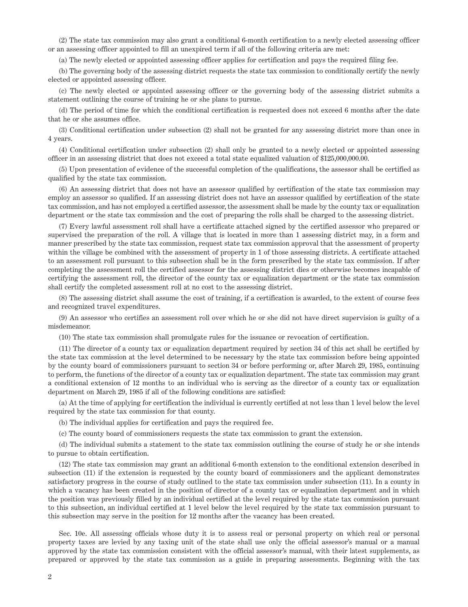(2) The state tax commission may also grant a conditional 6-month certification to a newly elected assessing officer or an assessing officer appointed to fill an unexpired term if all of the following criteria are met:

(a) The newly elected or appointed assessing officer applies for certification and pays the required filing fee.

(b) The governing body of the assessing district requests the state tax commission to conditionally certify the newly elected or appointed assessing officer.

(c) The newly elected or appointed assessing officer or the governing body of the assessing district submits a statement outlining the course of training he or she plans to pursue.

(d) The period of time for which the conditional certification is requested does not exceed 6 months after the date that he or she assumes office.

(3) Conditional certification under subsection (2) shall not be granted for any assessing district more than once in 4 years.

(4) Conditional certification under subsection (2) shall only be granted to a newly elected or appointed assessing officer in an assessing district that does not exceed a total state equalized valuation of \$125,000,000.00.

(5) Upon presentation of evidence of the successful completion of the qualifications, the assessor shall be certified as qualified by the state tax commission.

(6) An assessing district that does not have an assessor qualified by certification of the state tax commission may employ an assessor so qualified. If an assessing district does not have an assessor qualified by certification of the state tax commission, and has not employed a certified assessor, the assessment shall be made by the county tax or equalization department or the state tax commission and the cost of preparing the rolls shall be charged to the assessing district.

(7) Every lawful assessment roll shall have a certificate attached signed by the certified assessor who prepared or supervised the preparation of the roll. A village that is located in more than 1 assessing district may, in a form and manner prescribed by the state tax commission, request state tax commission approval that the assessment of property within the village be combined with the assessment of property in 1 of those assessing districts. A certificate attached to an assessment roll pursuant to this subsection shall be in the form prescribed by the state tax commission. If after completing the assessment roll the certified assessor for the assessing district dies or otherwise becomes incapable of certifying the assessment roll, the director of the county tax or equalization department or the state tax commission shall certify the completed assessment roll at no cost to the assessing district.

(8) The assessing district shall assume the cost of training, if a certification is awarded, to the extent of course fees and recognized travel expenditures.

(9) An assessor who certifies an assessment roll over which he or she did not have direct supervision is guilty of a misdemeanor.

(10) The state tax commission shall promulgate rules for the issuance or revocation of certification.

(11) The director of a county tax or equalization department required by section 34 of this act shall be certified by the state tax commission at the level determined to be necessary by the state tax commission before being appointed by the county board of commissioners pursuant to section 34 or before performing or, after March 29, 1985, continuing to perform, the functions of the director of a county tax or equalization department. The state tax commission may grant a conditional extension of 12 months to an individual who is serving as the director of a county tax or equalization department on March 29, 1985 if all of the following conditions are satisfied:

(a) At the time of applying for certification the individual is currently certified at not less than 1 level below the level required by the state tax commission for that county.

(b) The individual applies for certification and pays the required fee.

(c) The county board of commissioners requests the state tax commission to grant the extension.

(d) The individual submits a statement to the state tax commission outlining the course of study he or she intends to pursue to obtain certification.

(12) The state tax commission may grant an additional 6-month extension to the conditional extension described in subsection (11) if the extension is requested by the county board of commissioners and the applicant demonstrates satisfactory progress in the course of study outlined to the state tax commission under subsection (11). In a county in which a vacancy has been created in the position of director of a county tax or equalization department and in which the position was previously filled by an individual certified at the level required by the state tax commission pursuant to this subsection, an individual certified at 1 level below the level required by the state tax commission pursuant to this subsection may serve in the position for 12 months after the vacancy has been created.

Sec. 10e. All assessing officials whose duty it is to assess real or personal property on which real or personal property taxes are levied by any taxing unit of the state shall use only the official assessor's manual or a manual approved by the state tax commission consistent with the official assessor's manual, with their latest supplements, as prepared or approved by the state tax commission as a guide in preparing assessments. Beginning with the tax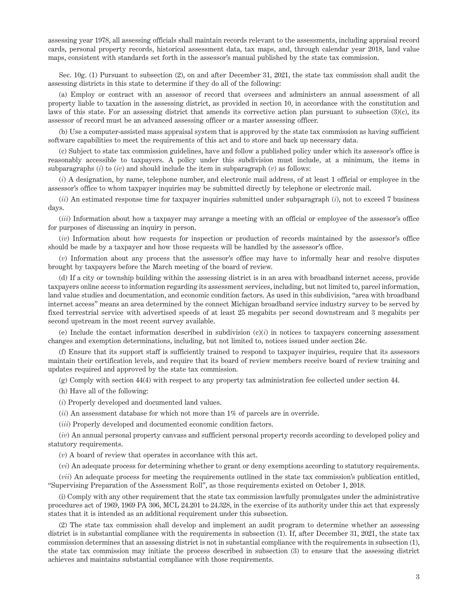assessing year 1978, all assessing officials shall maintain records relevant to the assessments, including appraisal record cards, personal property records, historical assessment data, tax maps, and, through calendar year 2018, land value maps, consistent with standards set forth in the assessor's manual published by the state tax commission.

Sec. 10g. (1) Pursuant to subsection (2), on and after December 31, 2021, the state tax commission shall audit the assessing districts in this state to determine if they do all of the following:

(a) Employ or contract with an assessor of record that oversees and administers an annual assessment of all property liable to taxation in the assessing district, as provided in section 10, in accordance with the constitution and laws of this state. For an assessing district that amends its corrective action plan pursuant to subsection (3)(c), its assessor of record must be an advanced assessing officer or a master assessing officer.

(b) Use a computer-assisted mass appraisal system that is approved by the state tax commission as having sufficient software capabilities to meet the requirements of this act and to store and back up necessary data.

(c) Subject to state tax commission guidelines, have and follow a published policy under which its assessor's office is reasonably accessible to taxpayers. A policy under this subdivision must include, at a minimum, the items in subparagraphs  $(i)$  to  $(iv)$  and should include the item in subparagraph  $(v)$  as follows:

(*i*) A designation, by name, telephone number, and electronic mail address, of at least 1 official or employee in the assessor's office to whom taxpayer inquiries may be submitted directly by telephone or electronic mail.

(*ii*) An estimated response time for taxpayer inquiries submitted under subparagraph (*i*), not to exceed 7 business days.

(*iii*) Information about how a taxpayer may arrange a meeting with an official or employee of the assessor's office for purposes of discussing an inquiry in person.

(*iv*) Information about how requests for inspection or production of records maintained by the assessor's office should be made by a taxpayer and how those requests will be handled by the assessor's office.

(*v*) Information about any process that the assessor's office may have to informally hear and resolve disputes brought by taxpayers before the March meeting of the board of review.

(d) If a city or township building within the assessing district is in an area with broadband internet access, provide taxpayers online access to information regarding its assessment services, including, but not limited to, parcel information, land value studies and documentation, and economic condition factors. As used in this subdivision, "area with broadband internet access" means an area determined by the connect Michigan broadband service industry survey to be served by fixed terrestrial service with advertised speeds of at least 25 megabits per second downstream and 3 megabits per second upstream in the most recent survey available.

(e) Include the contact information described in subdivision (c)(*i*) in notices to taxpayers concerning assessment changes and exemption determinations, including, but not limited to, notices issued under section 24c.

(f) Ensure that its support staff is sufficiently trained to respond to taxpayer inquiries, require that its assessors maintain their certification levels, and require that its board of review members receive board of review training and updates required and approved by the state tax commission.

(g) Comply with section 44(4) with respect to any property tax administration fee collected under section 44.

(h) Have all of the following:

(*i*) Properly developed and documented land values.

(*ii*) An assessment database for which not more than 1% of parcels are in override.

(*iii*) Properly developed and documented economic condition factors.

(*iv*) An annual personal property canvass and sufficient personal property records according to developed policy and statutory requirements.

(*v*) A board of review that operates in accordance with this act.

(*vi*) An adequate process for determining whether to grant or deny exemptions according to statutory requirements.

(*vii*) An adequate process for meeting the requirements outlined in the state tax commission's publication entitled, "Supervising Preparation of the Assessment Roll", as those requirements existed on October 1, 2018.

(i) Comply with any other requirement that the state tax commission lawfully promulgates under the administrative procedures act of 1969, 1969 PA 306, MCL 24.201 to 24.328, in the exercise of its authority under this act that expressly states that it is intended as an additional requirement under this subsection.

(2) The state tax commission shall develop and implement an audit program to determine whether an assessing district is in substantial compliance with the requirements in subsection (1). If, after December 31, 2021, the state tax commission determines that an assessing district is not in substantial compliance with the requirements in subsection (1), the state tax commission may initiate the process described in subsection (3) to ensure that the assessing district achieves and maintains substantial compliance with those requirements.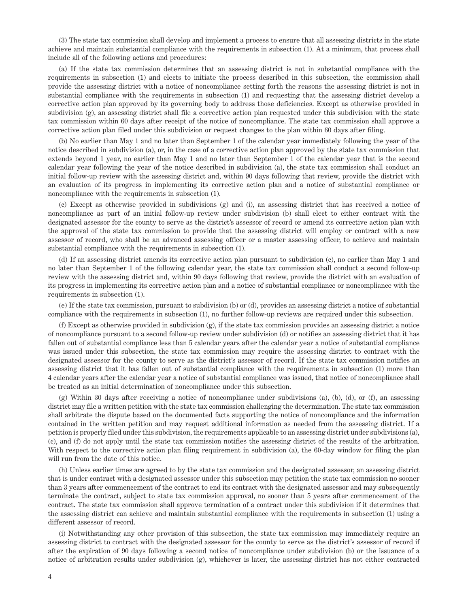(3) The state tax commission shall develop and implement a process to ensure that all assessing districts in the state achieve and maintain substantial compliance with the requirements in subsection (1). At a minimum, that process shall include all of the following actions and procedures:

(a) If the state tax commission determines that an assessing district is not in substantial compliance with the requirements in subsection (1) and elects to initiate the process described in this subsection, the commission shall provide the assessing district with a notice of noncompliance setting forth the reasons the assessing district is not in substantial compliance with the requirements in subsection (1) and requesting that the assessing district develop a corrective action plan approved by its governing body to address those deficiencies. Except as otherwise provided in subdivision (g), an assessing district shall file a corrective action plan requested under this subdivision with the state tax commission within 60 days after receipt of the notice of noncompliance. The state tax commission shall approve a corrective action plan filed under this subdivision or request changes to the plan within 60 days after filing.

(b) No earlier than May 1 and no later than September 1 of the calendar year immediately following the year of the notice described in subdivision (a), or, in the case of a corrective action plan approved by the state tax commission that extends beyond 1 year, no earlier than May 1 and no later than September 1 of the calendar year that is the second calendar year following the year of the notice described in subdivision (a), the state tax commission shall conduct an initial follow-up review with the assessing district and, within 90 days following that review, provide the district with an evaluation of its progress in implementing its corrective action plan and a notice of substantial compliance or noncompliance with the requirements in subsection (1).

(c) Except as otherwise provided in subdivisions (g) and (i), an assessing district that has received a notice of noncompliance as part of an initial follow-up review under subdivision (b) shall elect to either contract with the designated assessor for the county to serve as the district's assessor of record or amend its corrective action plan with the approval of the state tax commission to provide that the assessing district will employ or contract with a new assessor of record, who shall be an advanced assessing officer or a master assessing officer, to achieve and maintain substantial compliance with the requirements in subsection (1).

(d) If an assessing district amends its corrective action plan pursuant to subdivision (c), no earlier than May 1 and no later than September 1 of the following calendar year, the state tax commission shall conduct a second follow-up review with the assessing district and, within 90 days following that review, provide the district with an evaluation of its progress in implementing its corrective action plan and a notice of substantial compliance or noncompliance with the requirements in subsection (1).

(e) If the state tax commission, pursuant to subdivision (b) or (d), provides an assessing district a notice of substantial compliance with the requirements in subsection (1), no further follow-up reviews are required under this subsection.

(f) Except as otherwise provided in subdivision (g), if the state tax commission provides an assessing district a notice of noncompliance pursuant to a second follow-up review under subdivision (d) or notifies an assessing district that it has fallen out of substantial compliance less than 5 calendar years after the calendar year a notice of substantial compliance was issued under this subsection, the state tax commission may require the assessing district to contract with the designated assessor for the county to serve as the district's assessor of record. If the state tax commission notifies an assessing district that it has fallen out of substantial compliance with the requirements in subsection (1) more than 4 calendar years after the calendar year a notice of substantial compliance was issued, that notice of noncompliance shall be treated as an initial determination of noncompliance under this subsection.

(g) Within 30 days after receiving a notice of noncompliance under subdivisions (a), (b), (d), or (f), an assessing district may file a written petition with the state tax commission challenging the determination. The state tax commission shall arbitrate the dispute based on the documented facts supporting the notice of noncompliance and the information contained in the written petition and may request additional information as needed from the assessing district. If a petition is properly filed under this subdivision, the requirements applicable to an assessing district under subdivisions (a), (c), and (f) do not apply until the state tax commission notifies the assessing district of the results of the arbitration. With respect to the corrective action plan filing requirement in subdivision (a), the 60-day window for filing the plan will run from the date of this notice.

(h) Unless earlier times are agreed to by the state tax commission and the designated assessor, an assessing district that is under contract with a designated assessor under this subsection may petition the state tax commission no sooner than 3 years after commencement of the contract to end its contract with the designated assessor and may subsequently terminate the contract, subject to state tax commission approval, no sooner than 5 years after commencement of the contract. The state tax commission shall approve termination of a contract under this subdivision if it determines that the assessing district can achieve and maintain substantial compliance with the requirements in subsection (1) using a different assessor of record.

(i) Notwithstanding any other provision of this subsection, the state tax commission may immediately require an assessing district to contract with the designated assessor for the county to serve as the district's assessor of record if after the expiration of 90 days following a second notice of noncompliance under subdivision (b) or the issuance of a notice of arbitration results under subdivision (g), whichever is later, the assessing district has not either contracted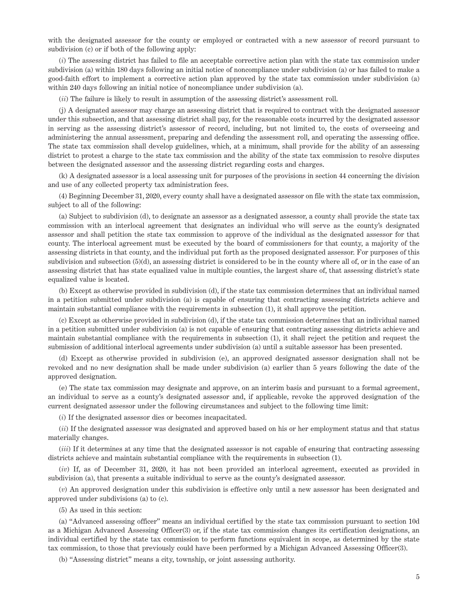with the designated assessor for the county or employed or contracted with a new assessor of record pursuant to subdivision (c) or if both of the following apply:

(*i*) The assessing district has failed to file an acceptable corrective action plan with the state tax commission under subdivision (a) within 180 days following an initial notice of noncompliance under subdivision (a) or has failed to make a good-faith effort to implement a corrective action plan approved by the state tax commission under subdivision (a) within 240 days following an initial notice of noncompliance under subdivision (a).

(*ii*) The failure is likely to result in assumption of the assessing district's assessment roll.

(j) A designated assessor may charge an assessing district that is required to contract with the designated assessor under this subsection, and that assessing district shall pay, for the reasonable costs incurred by the designated assessor in serving as the assessing district's assessor of record, including, but not limited to, the costs of overseeing and administering the annual assessment, preparing and defending the assessment roll, and operating the assessing office. The state tax commission shall develop guidelines, which, at a minimum, shall provide for the ability of an assessing district to protest a charge to the state tax commission and the ability of the state tax commission to resolve disputes between the designated assessor and the assessing district regarding costs and charges.

(k) A designated assessor is a local assessing unit for purposes of the provisions in section 44 concerning the division and use of any collected property tax administration fees.

(4) Beginning December 31, 2020, every county shall have a designated assessor on file with the state tax commission, subject to all of the following:

(a) Subject to subdivision (d), to designate an assessor as a designated assessor, a county shall provide the state tax commission with an interlocal agreement that designates an individual who will serve as the county's designated assessor and shall petition the state tax commission to approve of the individual as the designated assessor for that county. The interlocal agreement must be executed by the board of commissioners for that county, a majority of the assessing districts in that county, and the individual put forth as the proposed designated assessor. For purposes of this subdivision and subsection (5)(d), an assessing district is considered to be in the county where all of, or in the case of an assessing district that has state equalized value in multiple counties, the largest share of, that assessing district's state equalized value is located.

(b) Except as otherwise provided in subdivision (d), if the state tax commission determines that an individual named in a petition submitted under subdivision (a) is capable of ensuring that contracting assessing districts achieve and maintain substantial compliance with the requirements in subsection (1), it shall approve the petition.

(c) Except as otherwise provided in subdivision (d), if the state tax commission determines that an individual named in a petition submitted under subdivision (a) is not capable of ensuring that contracting assessing districts achieve and maintain substantial compliance with the requirements in subsection (1), it shall reject the petition and request the submission of additional interlocal agreements under subdivision (a) until a suitable assessor has been presented.

(d) Except as otherwise provided in subdivision (e), an approved designated assessor designation shall not be revoked and no new designation shall be made under subdivision (a) earlier than 5 years following the date of the approved designation.

(e) The state tax commission may designate and approve, on an interim basis and pursuant to a formal agreement, an individual to serve as a county's designated assessor and, if applicable, revoke the approved designation of the current designated assessor under the following circumstances and subject to the following time limit:

(*i*) If the designated assessor dies or becomes incapacitated.

(*ii*) If the designated assessor was designated and approved based on his or her employment status and that status materially changes.

(*iii*) If it determines at any time that the designated assessor is not capable of ensuring that contracting assessing districts achieve and maintain substantial compliance with the requirements in subsection (1).

(*iv*) If, as of December 31, 2020, it has not been provided an interlocal agreement, executed as provided in subdivision (a), that presents a suitable individual to serve as the county's designated assessor.

(*v*) An approved designation under this subdivision is effective only until a new assessor has been designated and approved under subdivisions (a) to (c).

(5) As used in this section:

(a) "Advanced assessing officer" means an individual certified by the state tax commission pursuant to section 10d as a Michigan Advanced Assessing Officer(3) or, if the state tax commission changes its certification designations, an individual certified by the state tax commission to perform functions equivalent in scope, as determined by the state tax commission, to those that previously could have been performed by a Michigan Advanced Assessing Officer(3).

(b) "Assessing district" means a city, township, or joint assessing authority.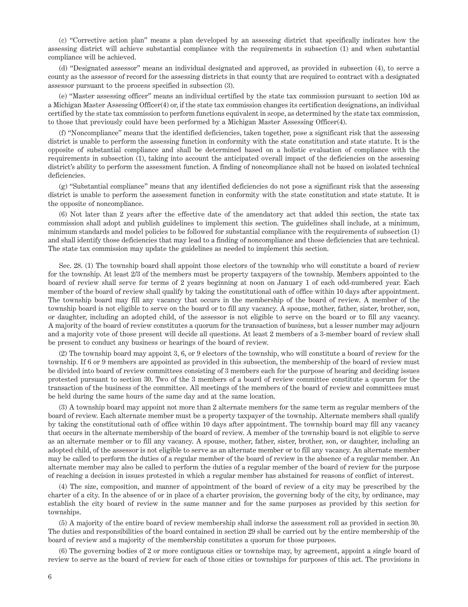(c) "Corrective action plan" means a plan developed by an assessing district that specifically indicates how the assessing district will achieve substantial compliance with the requirements in subsection (1) and when substantial compliance will be achieved.

(d) "Designated assessor" means an individual designated and approved, as provided in subsection (4), to serve a county as the assessor of record for the assessing districts in that county that are required to contract with a designated assessor pursuant to the process specified in subsection (3).

(e) "Master assessing officer" means an individual certified by the state tax commission pursuant to section 10d as a Michigan Master Assessing Officer(4) or, if the state tax commission changes its certification designations, an individual certified by the state tax commission to perform functions equivalent in scope, as determined by the state tax commission, to those that previously could have been performed by a Michigan Master Assessing Officer(4).

(f) "Noncompliance" means that the identified deficiencies, taken together, pose a significant risk that the assessing district is unable to perform the assessing function in conformity with the state constitution and state statute. It is the opposite of substantial compliance and shall be determined based on a holistic evaluation of compliance with the requirements in subsection (1), taking into account the anticipated overall impact of the deficiencies on the assessing district's ability to perform the assessment function. A finding of noncompliance shall not be based on isolated technical deficiencies.

(g) "Substantial compliance" means that any identified deficiencies do not pose a significant risk that the assessing district is unable to perform the assessment function in conformity with the state constitution and state statute. It is the opposite of noncompliance.

(6) Not later than 2 years after the effective date of the amendatory act that added this section, the state tax commission shall adopt and publish guidelines to implement this section. The guidelines shall include, at a minimum, minimum standards and model policies to be followed for substantial compliance with the requirements of subsection (1) and shall identify those deficiencies that may lead to a finding of noncompliance and those deficiencies that are technical. The state tax commission may update the guidelines as needed to implement this section.

Sec. 28. (1) The township board shall appoint those electors of the township who will constitute a board of review for the township. At least 2/3 of the members must be property taxpayers of the township. Members appointed to the board of review shall serve for terms of 2 years beginning at noon on January 1 of each odd-numbered year. Each member of the board of review shall qualify by taking the constitutional oath of office within 10 days after appointment. The township board may fill any vacancy that occurs in the membership of the board of review. A member of the township board is not eligible to serve on the board or to fill any vacancy. A spouse, mother, father, sister, brother, son, or daughter, including an adopted child, of the assessor is not eligible to serve on the board or to fill any vacancy. A majority of the board of review constitutes a quorum for the transaction of business, but a lesser number may adjourn and a majority vote of those present will decide all questions. At least 2 members of a 3-member board of review shall be present to conduct any business or hearings of the board of review.

(2) The township board may appoint 3, 6, or 9 electors of the township, who will constitute a board of review for the township. If 6 or 9 members are appointed as provided in this subsection, the membership of the board of review must be divided into board of review committees consisting of 3 members each for the purpose of hearing and deciding issues protested pursuant to section 30. Two of the 3 members of a board of review committee constitute a quorum for the transaction of the business of the committee. All meetings of the members of the board of review and committees must be held during the same hours of the same day and at the same location.

(3) A township board may appoint not more than 2 alternate members for the same term as regular members of the board of review. Each alternate member must be a property taxpayer of the township. Alternate members shall qualify by taking the constitutional oath of office within 10 days after appointment. The township board may fill any vacancy that occurs in the alternate membership of the board of review. A member of the township board is not eligible to serve as an alternate member or to fill any vacancy. A spouse, mother, father, sister, brother, son, or daughter, including an adopted child, of the assessor is not eligible to serve as an alternate member or to fill any vacancy. An alternate member may be called to perform the duties of a regular member of the board of review in the absence of a regular member. An alternate member may also be called to perform the duties of a regular member of the board of review for the purpose of reaching a decision in issues protested in which a regular member has abstained for reasons of conflict of interest.

(4) The size, composition, and manner of appointment of the board of review of a city may be prescribed by the charter of a city. In the absence of or in place of a charter provision, the governing body of the city, by ordinance, may establish the city board of review in the same manner and for the same purposes as provided by this section for townships.

(5) A majority of the entire board of review membership shall indorse the assessment roll as provided in section 30. The duties and responsibilities of the board contained in section 29 shall be carried out by the entire membership of the board of review and a majority of the membership constitutes a quorum for those purposes.

(6) The governing bodies of 2 or more contiguous cities or townships may, by agreement, appoint a single board of review to serve as the board of review for each of those cities or townships for purposes of this act. The provisions in